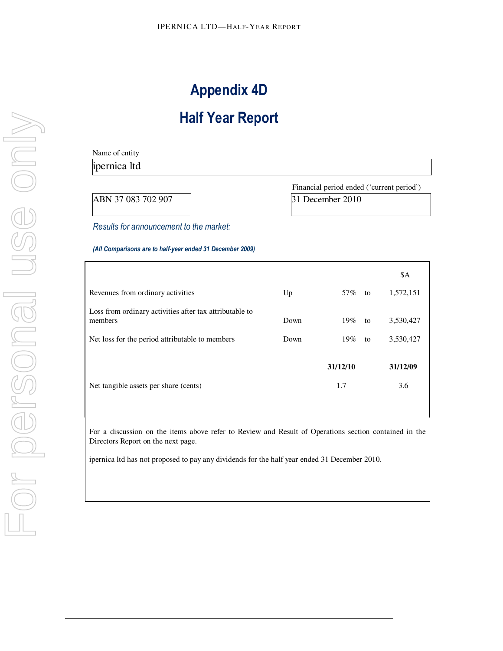# **Appendix 4D**

# **Half Year Report**

| Name of entity |  |  |
|----------------|--|--|
| ipernica ltd   |  |  |
|                |  |  |

ABN 37 083 702 907 | 31 December 2010

Financial period ended ('current period')

*Results for announcement to the market:* 

#### *(All Comparisons are to half-year ended 31 December 2009)*

|                                                                    |      |          |    | \$A       |
|--------------------------------------------------------------------|------|----------|----|-----------|
| Revenues from ordinary activities                                  | Up   | 57%      | to | 1,572,151 |
| Loss from ordinary activities after tax attributable to<br>members | Down | 19%      | to | 3,530,427 |
| Net loss for the period attributable to members                    | Down | 19%      | to | 3,530,427 |
|                                                                    |      | 31/12/10 |    | 31/12/09  |
| Net tangible assets per share (cents)                              |      | 1.7      |    | 3.6       |

For a discussion on the items above refer to Review and Result of Operations section contained in the Directors Report on the next page.

ipernica ltd has not proposed to pay any dividends for the half year ended 31 December 2010.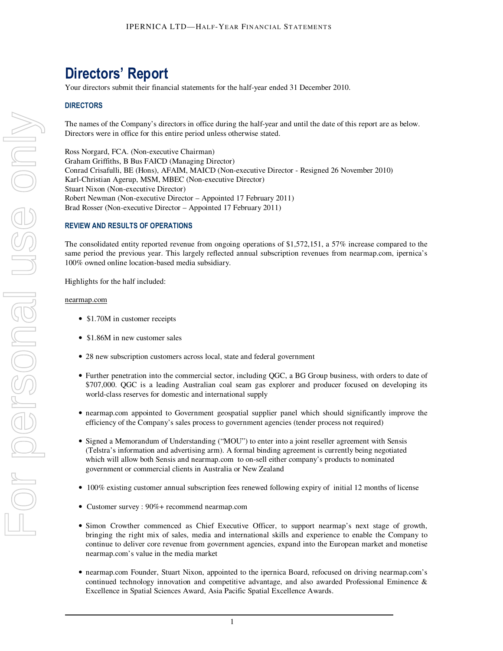# **Directors' Report**

Your directors submit their financial statements for the half-year ended 31 December 2010.

### **DIRECTORS**

The names of the Company's directors in office during the half-year and until the date of this report are as below. Directors were in office for this entire period unless otherwise stated.

Ross Norgard, FCA. (Non-executive Chairman) Graham Griffiths, B Bus FAICD (Managing Director) Conrad Crisafulli, BE (Hons), AFAIM, MAICD (Non-executive Director - Resigned 26 November 2010) Karl-Christian Agerup, MSM, MBEC (Non-executive Director) Stuart Nixon (Non-executive Director) Robert Newman (Non-executive Director – Appointed 17 February 2011) Brad Rosser (Non-executive Director – Appointed 17 February 2011)

#### **REVIEW AND RESULTS OF OPERATIONS**

The consolidated entity reported revenue from ongoing operations of \$1,572,151, a 57% increase compared to the same period the previous year. This largely reflected annual subscription revenues from nearmap.com, ipernica's 100% owned online location-based media subsidiary.

Highlights for the half included:

#### nearmap.com

- \$1.70M in customer receipts
- \$1.86M in new customer sales
- 28 new subscription customers across local, state and federal government
- Further penetration into the commercial sector, including QGC, a BG Group business, with orders to date of \$707,000. QGC is a leading Australian coal seam gas explorer and producer focused on developing its world-class reserves for domestic and international supply
- nearmap.com appointed to Government geospatial supplier panel which should significantly improve the efficiency of the Company's sales process to government agencies (tender process not required)
- Signed a Memorandum of Understanding ("MOU") to enter into a joint reseller agreement with Sensis (Telstra's information and advertising arm). A formal binding agreement is currently being negotiated which will allow both Sensis and nearmap.com to on-sell either company's products to nominated government or commercial clients in Australia or New Zealand
- 100% existing customer annual subscription fees renewed following expiry of initial 12 months of license
- Customer survey : 90%+ recommend nearmap.com
- Simon Crowther commenced as Chief Executive Officer, to support nearmap's next stage of growth, bringing the right mix of sales, media and international skills and experience to enable the Company to continue to deliver core revenue from government agencies, expand into the European market and monetise nearmap.com's value in the media market
- nearmap.com Founder, Stuart Nixon, appointed to the ipernica Board, refocused on driving nearmap.com's continued technology innovation and competitive advantage, and also awarded Professional Eminence & Excellence in Spatial Sciences Award, Asia Pacific Spatial Excellence Awards.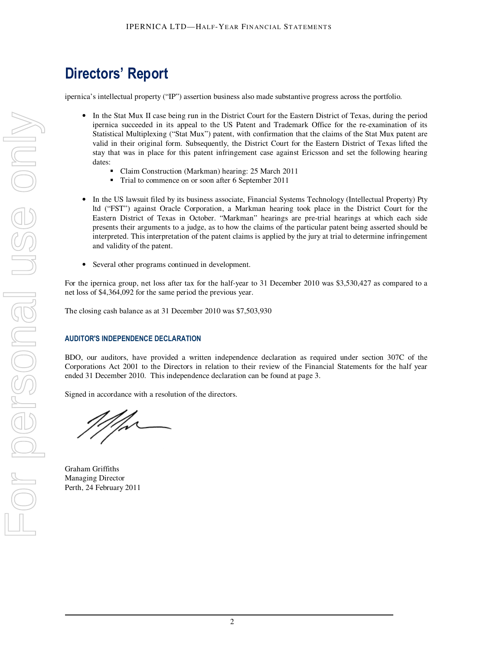# **Directors' Report**

ipernica's intellectual property ("IP") assertion business also made substantive progress across the portfolio.

- In the Stat Mux II case being run in the District Court for the Eastern District of Texas, during the period ipernica succeeded in its appeal to the US Patent and Trademark Office for the re-examination of its Statistical Multiplexing ("Stat Mux") patent, with confirmation that the claims of the Stat Mux patent are valid in their original form. Subsequently, the District Court for the Eastern District of Texas lifted the stay that was in place for this patent infringement case against Ericsson and set the following hearing dates:
	- Claim Construction (Markman) hearing: 25 March 2011
	- Trial to commence on or soon after 6 September 2011
- In the US lawsuit filed by its business associate, Financial Systems Technology (Intellectual Property) Pty ltd ("FST") against Oracle Corporation, a Markman hearing took place in the District Court for the Eastern District of Texas in October. "Markman" hearings are pre-trial hearings at which each side presents their arguments to a judge, as to how the claims of the particular patent being asserted should be interpreted. This interpretation of the patent claims is applied by the jury at trial to determine infringement and validity of the patent.
- Several other programs continued in development.

For the ipernica group, net loss after tax for the half-year to 31 December 2010 was \$3,530,427 as compared to a net loss of \$4,364,092 for the same period the previous year.

The closing cash balance as at 31 December 2010 was \$7,503,930

### **AUDITOR'S INDEPENDENCE DECLARATION**

BDO, our auditors, have provided a written independence declaration as required under section 307C of the Corporations Act 2001 to the Directors in relation to their review of the Financial Statements for the half year ended 31 December 2010. This independence declaration can be found at page 3.

Signed in accordance with a resolution of the directors.

1Z -

Graham Griffiths Managing Director Perth, 24 February 2011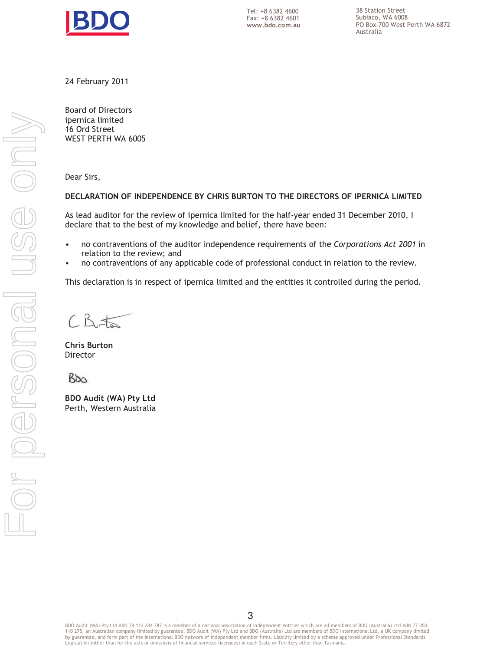

Tel: +8 6382 4600 Fax: +8 6382 4601 **www.bdo.com.au**  38 Station Street Subiaco, WA 6008 PO Box 700 West Perth WA 6872 Australia

24 February 2011

Board of Directors ipernica limited 16 Ord Street WEST PERTH WA 6005

Dear Sirs,

### **DECLARATION OF INDEPENDENCE BY CHRIS BURTON TO THE DIRECTORS OF IPERNICA LIMITED**

As lead auditor for the review of ipernica limited for the half-year ended 31 December 2010, I declare that to the best of my knowledge and belief, there have been:

- no contraventions of the auditor independence requirements of the *Corporations Act 2001* in relation to the review; and
- no contraventions of any applicable code of professional conduct in relation to the review.

This declaration is in respect of ipernica limited and the entities it controlled during the period.

 $CB55$ 

**Chris Burton**  Director

Biss

**BDO Audit (WA) Pty Ltd** Perth, Western Australia

BDO Audit (WA) Pty Ltd ABN 79 112 284 787 is a member of a national association of independent entities which are all members of BDO (Australia) Ltd ABN 77 050 110 275, an Australian company limited by guarantee. BDO Audit (WA) Pty Ltd and BDO (Australia) Ltd are members of BDO International Ltd, a UK company limited by guarantee, and form part of the international BDO network of independent member firms. Liability limited by a scheme approved under Professional Standards Legislation (other than for the acts or omissions of financial services licensees) in each State or Territory other than Tasmania.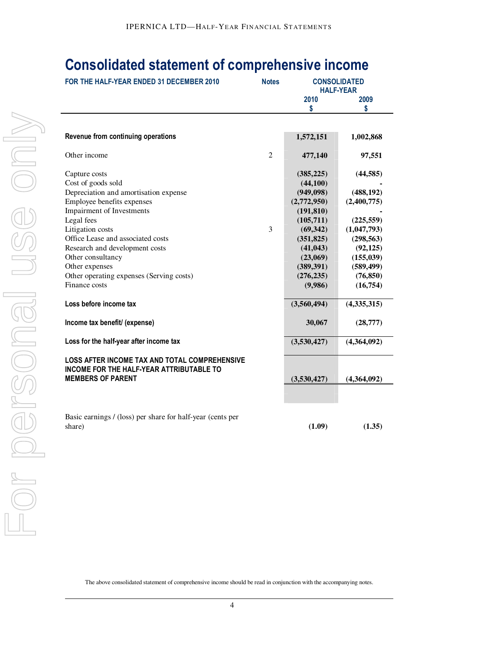# **Consolidated statement of comprehensive income**

| FOR THE HALF-YEAR ENDED 31 DECEMBER 2010                                                                                                                                                                                                                                                                                                             |                | <b>CONSOLIDATED</b><br><b>HALF-YEAR</b>                                                                                                                                    |                                                                                                                                                      |
|------------------------------------------------------------------------------------------------------------------------------------------------------------------------------------------------------------------------------------------------------------------------------------------------------------------------------------------------------|----------------|----------------------------------------------------------------------------------------------------------------------------------------------------------------------------|------------------------------------------------------------------------------------------------------------------------------------------------------|
|                                                                                                                                                                                                                                                                                                                                                      |                | 2010<br>\$                                                                                                                                                                 | 2009<br>S                                                                                                                                            |
|                                                                                                                                                                                                                                                                                                                                                      |                |                                                                                                                                                                            |                                                                                                                                                      |
| Revenue from continuing operations                                                                                                                                                                                                                                                                                                                   |                | 1,572,151                                                                                                                                                                  | 1,002,868                                                                                                                                            |
| Other income                                                                                                                                                                                                                                                                                                                                         | $\overline{2}$ | 477,140                                                                                                                                                                    | 97,551                                                                                                                                               |
| Capture costs<br>Cost of goods sold<br>Depreciation and amortisation expense<br>Employee benefits expenses<br>Impairment of Investments<br>Legal fees<br>Litigation costs<br>Office Lease and associated costs<br>Research and development costs<br>Other consultancy<br>Other expenses<br>Other operating expenses (Serving costs)<br>Finance costs | 3              | (385, 225)<br>(44, 100)<br>(949,098)<br>(2,772,950)<br>(191, 810)<br>(105, 711)<br>(69, 342)<br>(351, 825)<br>(41, 043)<br>(23,069)<br>(389, 391)<br>(276, 235)<br>(9,986) | (44, 585)<br>(488, 192)<br>(2,400,775)<br>(225, 559)<br>(1,047,793)<br>(298, 563)<br>(92, 125)<br>(155, 039)<br>(589, 499)<br>(76, 850)<br>(16, 754) |
| Loss before income tax                                                                                                                                                                                                                                                                                                                               |                | (3,560,494)                                                                                                                                                                | (4,335,315)                                                                                                                                          |
| Income tax benefit/ (expense)                                                                                                                                                                                                                                                                                                                        |                | 30,067                                                                                                                                                                     | (28, 777)                                                                                                                                            |
| Loss for the half-year after income tax                                                                                                                                                                                                                                                                                                              |                | (3,530,427)                                                                                                                                                                | (4,364,092)                                                                                                                                          |
| <b>LOSS AFTER INCOME TAX AND TOTAL COMPREHENSIVE</b><br>INCOME FOR THE HALF-YEAR ATTRIBUTABLE TO<br><b>MEMBERS OF PARENT</b>                                                                                                                                                                                                                         |                | (3,530,427)                                                                                                                                                                | (4,364,092)                                                                                                                                          |
| Basic earnings / (loss) per share for half-year (cents per<br>share)                                                                                                                                                                                                                                                                                 |                | (1.09)                                                                                                                                                                     | (1.35)                                                                                                                                               |

The above consolidated statement of comprehensive income should be read in conjunction with the accompanying notes.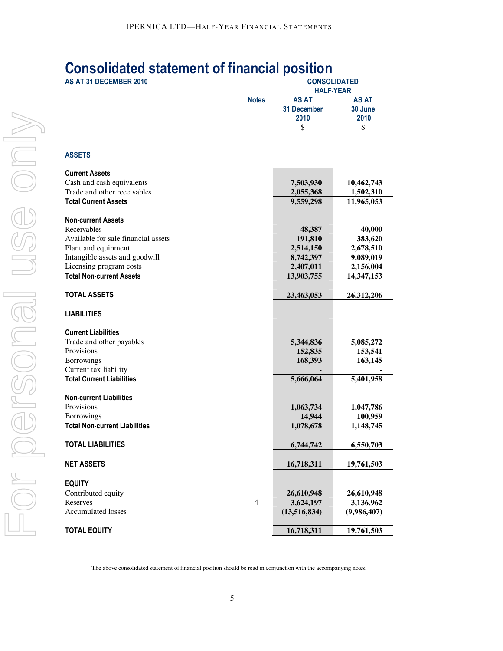# **Consolidated statement of financial position**

| AS AT 31 DECEMBER 2010                                                                                                                                                                                 |                | <b>CONSOLIDATED</b><br><b>HALF-YEAR</b>                                |                                                                        |  |  |
|--------------------------------------------------------------------------------------------------------------------------------------------------------------------------------------------------------|----------------|------------------------------------------------------------------------|------------------------------------------------------------------------|--|--|
|                                                                                                                                                                                                        | <b>Notes</b>   | <b>AS AT</b><br>31 December<br>2010<br>\$                              | <b>AS AT</b><br>30 June<br>2010<br>\$                                  |  |  |
| <b>ASSETS</b>                                                                                                                                                                                          |                |                                                                        |                                                                        |  |  |
| <b>Current Assets</b><br>Cash and cash equivalents<br>Trade and other receivables<br><b>Total Current Assets</b>                                                                                       |                | 7,503,930<br>2,055,368<br>9,559,298                                    | 10,462,743<br>1,502,310<br>11,965,053                                  |  |  |
| <b>Non-current Assets</b><br>Receivables<br>Available for sale financial assets<br>Plant and equipment<br>Intangible assets and goodwill<br>Licensing program costs<br><b>Total Non-current Assets</b> |                | 48,387<br>191,810<br>2,514,150<br>8,742,397<br>2,407,011<br>13,903,755 | 40,000<br>383,620<br>2,678,510<br>9,089,019<br>2,156,004<br>14,347,153 |  |  |
| <b>TOTAL ASSETS</b>                                                                                                                                                                                    |                | 23,463,053                                                             | 26,312,206                                                             |  |  |
| <b>LIABILITIES</b>                                                                                                                                                                                     |                |                                                                        |                                                                        |  |  |
| <b>Current Liabilities</b><br>Trade and other payables<br>Provisions<br>Borrowings<br>Current tax liability<br><b>Total Current Liabilities</b>                                                        |                | 5,344,836<br>152,835<br>168,393<br>5,666,064                           | 5,085,272<br>153,541<br>163,145<br>5,401,958                           |  |  |
| <b>Non-current Liabilities</b><br>Provisions<br>Borrowings<br><b>Total Non-current Liabilities</b>                                                                                                     |                | 1,063,734<br>14,944<br>1,078,678                                       | 1,047,786<br>100,959<br>1,148,745                                      |  |  |
| <b>TOTAL LIABILITIES</b>                                                                                                                                                                               |                | 6,744,742                                                              | 6,550,703                                                              |  |  |
| <b>NET ASSETS</b>                                                                                                                                                                                      |                | 16,718,311                                                             | 19,761,503                                                             |  |  |
| <b>EQUITY</b><br>Contributed equity<br>Reserves<br><b>Accumulated losses</b>                                                                                                                           | $\overline{4}$ | 26,610,948<br>3,624,197<br>(13,516,834)                                | 26,610,948<br>3,136,962<br>(9,986,407)                                 |  |  |
| <b>TOTAL EQUITY</b>                                                                                                                                                                                    |                | 16,718,311                                                             | 19,761,503                                                             |  |  |

The above consolidated statement of financial position should be read in conjunction with the accompanying notes.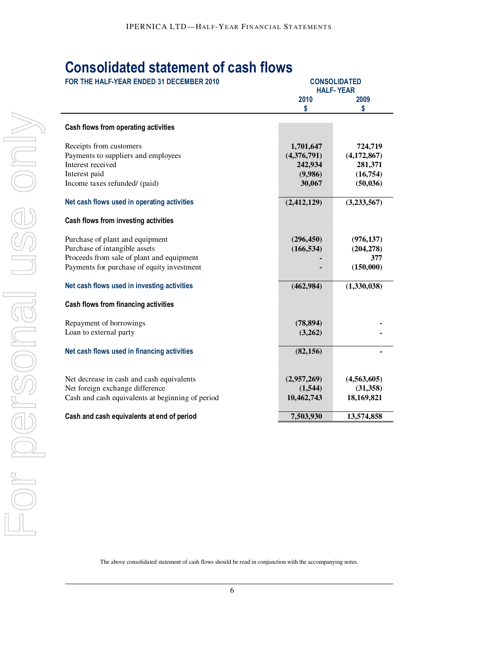# **Consolidated statement of cash flows**

| FOR THE HALF-YEAR ENDED 31 DECEMBER 2010         |               | <b>CONSOLIDATED</b><br><b>HALF-YEAR</b> |
|--------------------------------------------------|---------------|-----------------------------------------|
|                                                  | 2010          | 2009                                    |
|                                                  | \$            | \$                                      |
| Cash flows from operating activities             |               |                                         |
| Receipts from customers                          | 1,701,647     | 724,719                                 |
| Payments to suppliers and employees              | (4,376,791)   | (4, 172, 867)                           |
| Interest received                                | 242,934       | 281,371                                 |
| Interest paid                                    | (9,986)       | (16, 754)                               |
| Income taxes refunded/ (paid)                    | 30,067        | (50, 036)                               |
| Net cash flows used in operating activities      | (2, 412, 129) | (3, 233, 567)                           |
| Cash flows from investing activities             |               |                                         |
| Purchase of plant and equipment                  | (296, 450)    | (976, 137)                              |
| Purchase of intangible assets                    | (166, 534)    | (204, 278)                              |
| Proceeds from sale of plant and equipment        |               | 377                                     |
| Payments for purchase of equity investment       |               | (150,000)                               |
| Net cash flows used in investing activities      | (462, 984)    | (1,330,038)                             |
| Cash flows from financing activities             |               |                                         |
| Repayment of borrowings                          | (78, 894)     |                                         |
| Loan to external party                           | (3,262)       |                                         |
| Net cash flows used in financing activities      | (82, 156)     |                                         |
|                                                  |               |                                         |
| Net decrease in cash and cash equivalents        | (2,957,269)   | (4,563,605)                             |
| Net foreign exchange difference                  | (1, 544)      | (31, 358)                               |
| Cash and cash equivalents at beginning of period | 10,462,743    | 18,169,821                              |
| Cash and cash equivalents at end of period       | 7,503,930     | 13,574,858                              |

The above consolidated statement of cash flows should be read in conjunction with the accompanying notes.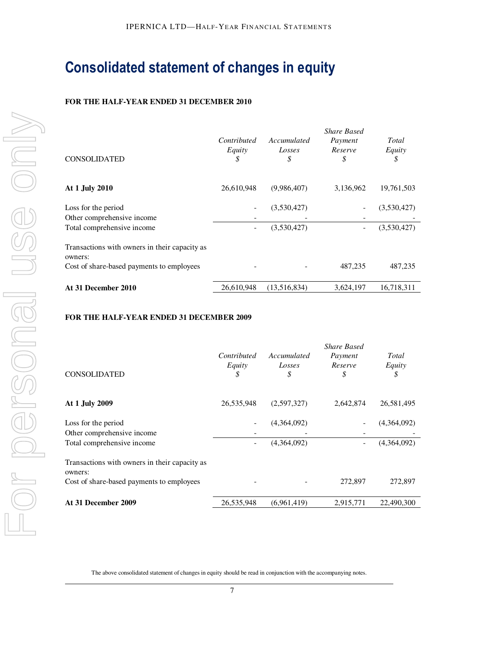# **Consolidated statement of changes in equity**

### **FOR THE HALF-YEAR ENDED 31 DECEMBER 2010**

| <b>CONSOLIDATED</b>                                      | Contributed<br>Equity<br>\$ | Accumulated<br>Losses<br>\$ | <b>Share Based</b><br>Payment<br>Reserve<br>\$ | <b>Total</b><br>Equity<br>\$ |
|----------------------------------------------------------|-----------------------------|-----------------------------|------------------------------------------------|------------------------------|
| At 1 July 2010                                           | 26,610,948                  | (9,986,407)                 | 3,136,962                                      | 19,761,503                   |
| Loss for the period<br>Other comprehensive income        |                             | (3,530,427)                 |                                                | (3,530,427)                  |
| Total comprehensive income                               |                             | (3,530,427)                 |                                                | (3,530,427)                  |
| Transactions with owners in their capacity as<br>owners: |                             |                             |                                                |                              |
| Cost of share-based payments to employees                |                             |                             | 487,235                                        | 487,235                      |
| At 31 December 2010                                      | 26.610.948                  | (13,516,834)                | 3,624,197                                      | 16,718,311                   |

### **FOR THE HALF-YEAR ENDED 31 DECEMBER 2009**

| <b>CONSOLIDATED</b>                                      | Contributed<br>Equity<br>\$ | Accumulated<br>Losses<br>\$ | <b>Share Based</b><br>Payment<br>Reserve<br>\$ | Total<br>Equity<br>\$ |
|----------------------------------------------------------|-----------------------------|-----------------------------|------------------------------------------------|-----------------------|
| At 1 July 2009                                           | 26,535,948                  | (2,597,327)                 | 2,642,874                                      | 26,581,495            |
| Loss for the period<br>Other comprehensive income        |                             | (4,364,092)                 |                                                | (4,364,092)           |
| Total comprehensive income                               |                             | (4,364,092)                 |                                                | (4,364,092)           |
| Transactions with owners in their capacity as<br>owners: |                             |                             |                                                |                       |
| Cost of share-based payments to employees                |                             |                             | 272,897                                        | 272,897               |
| At 31 December 2009                                      | 26,535,948                  | (6,961,419)                 | 2,915,771                                      | 22,490,300            |

The above consolidated statement of changes in equity should be read in conjunction with the accompanying notes.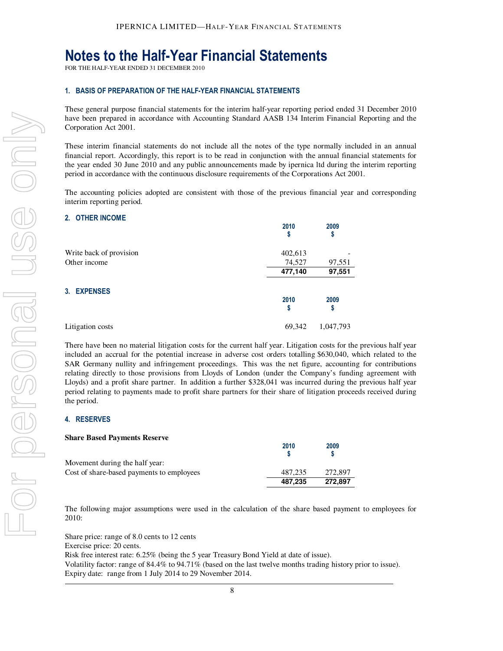# **Notes to the Half-Year Financial Statements**

FOR THE HALF-YEAR ENDED 31 DECEMBER 2010

#### **1. BASIS OF PREPARATION OF THE HALF-YEAR FINANCIAL STATEMENTS**

These general purpose financial statements for the interim half-year reporting period ended 31 December 2010 have been prepared in accordance with Accounting Standard AASB 134 Interim Financial Reporting and the Corporation Act 2001.

These interim financial statements do not include all the notes of the type normally included in an annual financial report. Accordingly, this report is to be read in conjunction with the annual financial statements for the year ended 30 June 2010 and any public announcements made by ipernica ltd during the interim reporting period in accordance with the continuous disclosure requirements of the Corporations Act 2001.

The accounting policies adopted are consistent with those of the previous financial year and corresponding interim reporting period.

#### **2. OTHER INCOME**

|                         | 2010    | 2009<br>Ş |
|-------------------------|---------|-----------|
| Write back of provision | 402,613 |           |
| Other income            | 74,527  | 97,551    |
|                         | 477,140 | 97,551    |
| <b>3. EXPENSES</b>      | 2010    | 2009      |
|                         |         | \$        |
| Litigation costs        | 69,342  | 1,047,793 |

There have been no material litigation costs for the current half year. Litigation costs for the previous half year included an accrual for the potential increase in adverse cost orders totalling \$630,040, which related to the SAR Germany nullity and infringement proceedings. This was the net figure, accounting for contributions relating directly to those provisions from Lloyds of London (under the Company's funding agreement with Lloyds) and a profit share partner. In addition a further \$328,041 was incurred during the previous half year period relating to payments made to profit share partners for their share of litigation proceeds received during the period.

#### **4. RESERVES**

| <b>Share Based Payments Reserve</b>       | 2010    | 2009    |
|-------------------------------------------|---------|---------|
| Movement during the half year:            |         |         |
| Cost of share-based payments to employees | 487.235 | 272,897 |
|                                           | 487.235 | 272,897 |

The following major assumptions were used in the calculation of the share based payment to employees for 2010:

Share price: range of 8.0 cents to 12 cents Exercise price: 20 cents. Risk free interest rate: 6.25% (being the 5 year Treasury Bond Yield at date of issue). Volatility factor: range of 84.4% to 94.71% (based on the last twelve months trading history prior to issue). Expiry date: range from 1 July 2014 to 29 November 2014.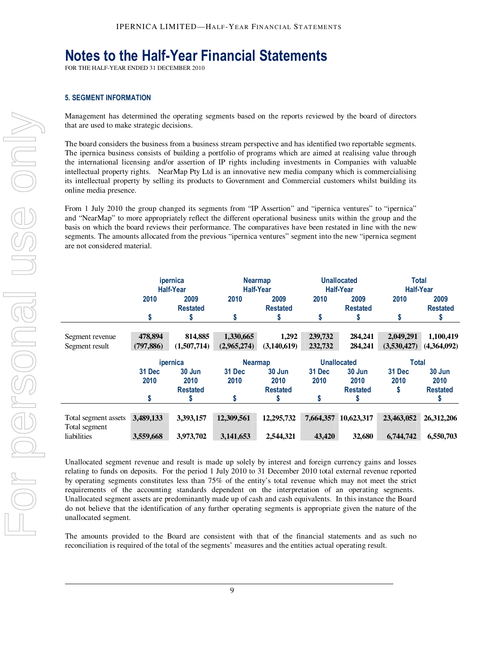# **Notes to the Half-Year Financial Statements**

FOR THE HALF-YEAR ENDED 31 DECEMBER 2010

### **5. SEGMENT INFORMATION**

Management has determined the operating segments based on the reports reviewed by the board of directors that are used to make strategic decisions.

The board considers the business from a business stream perspective and has identified two reportable segments. The ipernica business consists of building a portfolio of programs which are aimed at realising value through the international licensing and/or assertion of IP rights including investments in Companies with valuable intellectual property rights. NearMap Pty Ltd is an innovative new media company which is commercialising its intellectual property by selling its products to Government and Commercial customers whilst building its online media presence.

From 1 July 2010 the group changed its segments from "IP Assertion" and "ipernica ventures" to "ipernica" and "NearMap" to more appropriately reflect the different operational business units within the group and the basis on which the board reviews their performance. The comparatives have been restated in line with the new segments. The amounts allocated from the previous "ipernica ventures" segment into the new "ipernica segment are not considered material.

|                                       |              | ipernica<br><b>Nearmap</b><br><b>Half-Year</b><br><b>Half-Year</b> |                |                 | <b>Unallocated</b><br><b>Half-Year</b> |                      | Total<br><b>Half-Year</b> |                 |
|---------------------------------------|--------------|--------------------------------------------------------------------|----------------|-----------------|----------------------------------------|----------------------|---------------------------|-----------------|
|                                       | 2010<br>2009 |                                                                    | 2010           | 2009            | 2010                                   | 2009                 | 2010                      | 2009            |
|                                       |              | <b>Restated</b>                                                    |                | <b>Restated</b> |                                        | <b>Restated</b>      |                           | <b>Restated</b> |
|                                       | \$           |                                                                    | \$             |                 | \$                                     |                      | S                         |                 |
| Segment revenue                       | 478,894      | 814,885                                                            | 1,330,665      | 1.292           | 239,732                                | 284,241              | 2,049,291                 | 1,100,419       |
| Segment result                        | (797, 886)   | (1,507,714)                                                        | (2,965,274)    | (3,140,619)     | 232,732                                | 284,241              | (3,530,427)               | (4,364,092)     |
|                                       |              | ipernica                                                           | <b>Nearmap</b> |                 |                                        | <b>Unallocated</b>   | <b>Total</b>              |                 |
|                                       | 31 Dec       | 30 Jun                                                             | 31 Dec         | 30 Jun          | 31 Dec                                 | 30 Jun               | 31 Dec                    | 30 Jun          |
|                                       | 2010         | 2010                                                               | 2010           | 2010            | 2010                                   | 2010                 | 2010                      | 2010            |
|                                       |              | <b>Restated</b>                                                    |                | <b>Restated</b> |                                        | <b>Restated</b>      | S                         | <b>Restated</b> |
|                                       | S            |                                                                    | \$             |                 | \$                                     |                      |                           |                 |
|                                       |              |                                                                    |                |                 |                                        |                      |                           |                 |
| Total segment assets<br>Total segment | 3,489,133    | 3,393,157                                                          | 12,309,561     | 12,295,732      |                                        | 7,664,357 10,623,317 | 23,463,052                | 26,312,206      |
| liabilities                           | 3,559,668    | 3,973,702                                                          | 3,141,653      | 2,544,321       | 43,420                                 | 32,680               | 6,744,742                 | 6,550,703       |

Unallocated segment revenue and result is made up solely by interest and foreign currency gains and losses relating to funds on deposits. For the period 1 July 2010 to 31 December 2010 total external revenue reported by operating segments constitutes less than 75% of the entity's total revenue which may not meet the strict requirements of the accounting standards dependent on the interpretation of an operating segments. Unallocated segment assets are predominantly made up of cash and cash equivalents. In this instance the Board do not believe that the identification of any further operating segments is appropriate given the nature of the unallocated segment.

The amounts provided to the Board are consistent with that of the financial statements and as such no reconciliation is required of the total of the segments' measures and the entities actual operating result.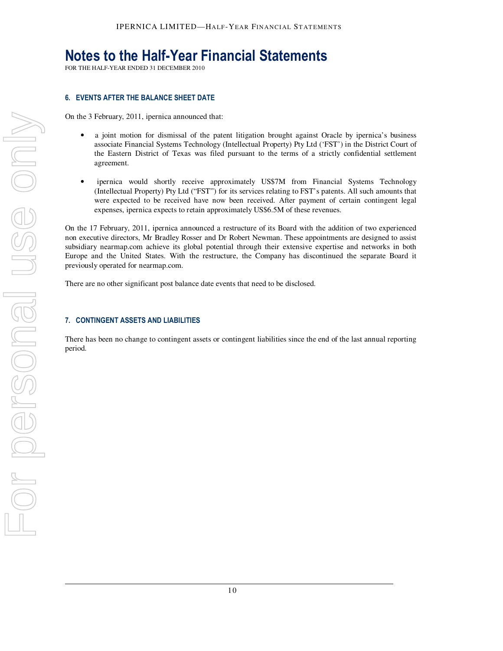# **Notes to the Half-Year Financial Statements**

FOR THE HALF-YEAR ENDED 31 DECEMBER 2010

### **6. EVENTS AFTER THE BALANCE SHEET DATE**

On the 3 February, 2011, ipernica announced that:

- a joint motion for dismissal of the patent litigation brought against Oracle by ipernica's business associate Financial Systems Technology (Intellectual Property) Pty Ltd ('FST') in the District Court of the Eastern District of Texas was filed pursuant to the terms of a strictly confidential settlement agreement.
- ipernica would shortly receive approximately US\$7M from Financial Systems Technology (Intellectual Property) Pty Ltd ("FST") for its services relating to FST's patents. All such amounts that were expected to be received have now been received. After payment of certain contingent legal expenses, ipernica expects to retain approximately US\$6.5M of these revenues.

On the 17 February, 2011, ipernica announced a restructure of its Board with the addition of two experienced non executive directors, Mr Bradley Rosser and Dr Robert Newman. These appointments are designed to assist subsidiary nearmap.com achieve its global potential through their extensive expertise and networks in both Europe and the United States. With the restructure, the Company has discontinued the separate Board it previously operated for nearmap.com.

There are no other significant post balance date events that need to be disclosed.

### **7. CONTINGENT ASSETS AND LIABILITIES**

There has been no change to contingent assets or contingent liabilities since the end of the last annual reporting period.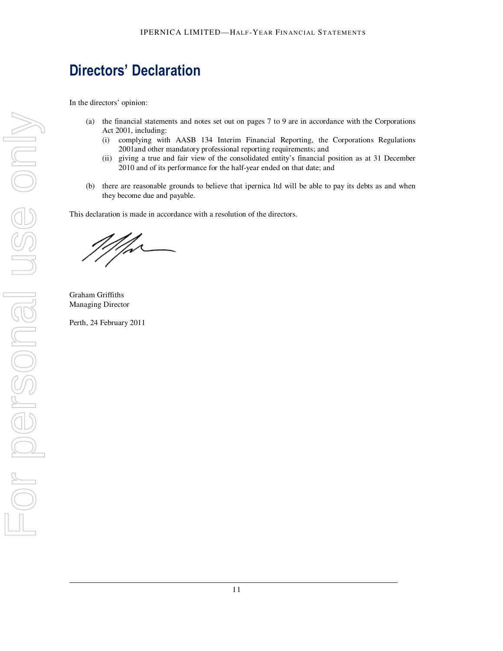# **Directors' Declaration**

In the directors' opinion:

- (a) the financial statements and notes set out on pages 7 to 9 are in accordance with the Corporations Act 2001, including:
	- (i) complying with AASB 134 Interim Financial Reporting, the Corporations Regulations 2001and other mandatory professional reporting requirements; and
	- (ii) giving a true and fair view of the consolidated entity's financial position as at 31 December 2010 and of its performance for the half-year ended on that date; and
- (b) there are reasonable grounds to believe that ipernica ltd will be able to pay its debts as and when they become due and payable.

This declaration is made in accordance with a resolution of the directors.

1 fr

Graham Griffiths Managing Director

Perth, 24 February 2011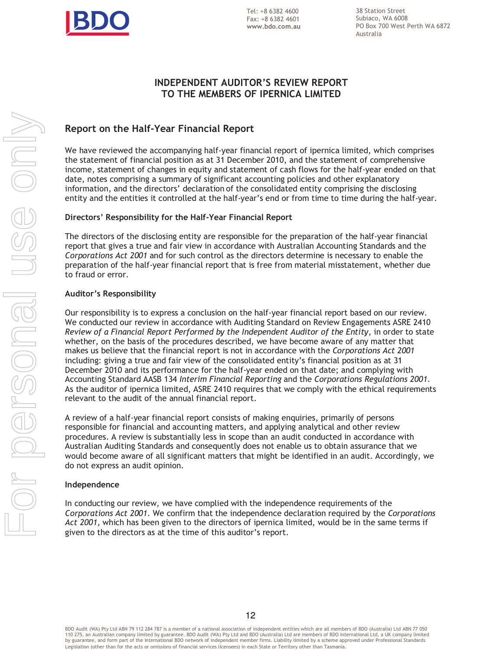

38 Station Street Subiaco, WA 6008 PO Box 700 West Perth WA 6872 Australia

## **INDEPENDENT AUDITOR'S REVIEW REPORT TO THE MEMBERS OF IPERNICA LIMITED**

# **Report on the Half-Year Financial Report**

We have reviewed the accompanying half-year financial report of ipernica limited, which comprises the statement of financial position as at 31 December 2010, and the statement of comprehensive income, statement of changes in equity and statement of cash flows for the half-year ended on that date, notes comprising a summary of significant accounting policies and other explanatory information, and the directors' declaration of the consolidated entity comprising the disclosing entity and the entities it controlled at the half-year's end or from time to time during the half-year.

## **Directors' Responsibility for the Half-Year Financial Report**

The directors of the disclosing entity are responsible for the preparation of the half-year financial report that gives a true and fair view in accordance with Australian Accounting Standards and the *Corporations Act 2001* and for such control as the directors determine is necessary to enable the preparation of the half-year financial report that is free from material misstatement, whether due to fraud or error.

## **Auditor's Responsibility**

Our responsibility is to express a conclusion on the half-year financial report based on our review. We conducted our review in accordance with Auditing Standard on Review Engagements ASRE 2410 *Review of a Financial Report Performed by the Independent Auditor of the Entity*, in order to state whether, on the basis of the procedures described, we have become aware of any matter that makes us believe that the financial report is not in accordance with the *Corporations Act 2001* including: giving a true and fair view of the consolidated entity's financial position as at 31 December 2010 and its performance for the half-year ended on that date; and complying with Accounting Standard AASB 134 *Interim Financial Reporting* and the *Corporations Regulations 2001*. As the auditor of ipernica limited, ASRE 2410 requires that we comply with the ethical requirements relevant to the audit of the annual financial report.

A review of a half-year financial report consists of making enquiries, primarily of persons responsible for financial and accounting matters, and applying analytical and other review procedures. A review is substantially less in scope than an audit conducted in accordance with Australian Auditing Standards and consequently does not enable us to obtain assurance that we would become aware of all significant matters that might be identified in an audit. Accordingly, we do not express an audit opinion.

## **Independence**

In conducting our review, we have complied with the independence requirements of the *Corporations Act 2001*. We confirm that the independence declaration required by the *Corporations Act 2001,* which has been given to the directors of ipernica limited, would be in the same terms if given to the directors as at the time of this auditor's report.

BDO Audit (WA) Pty Ltd ABN 79 112 284 787 is a member of a national association of independent entities which are all members of BDO (Australia) Ltd ABN 77 050 110 275, an Australian company limited by guarantee. BDO Audit (WA) Pty Ltd and BDO (Australia) Ltd are members of BDO International Ltd, a UK company limited by guarantee, and form part of the international BDO network of independent member firms. Liability limited by a scheme approved under Professional Standards Legislation (other than for the acts or omissions of financial services licensees) in each State or Territory other than Tasmania.